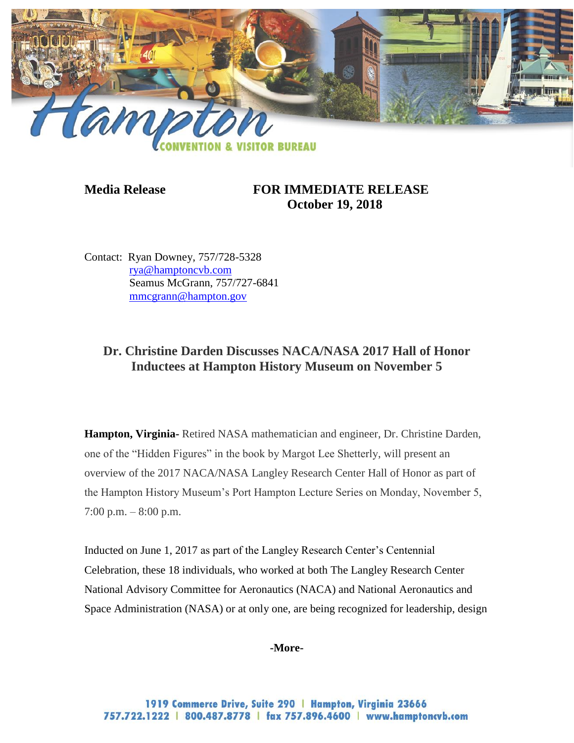

## **Media Release FOR IMMEDIATE RELEASE October 19, 2018**

Contact: Ryan Downey, 757/728-5328 [rya@hamptoncvb.com](mailto:rya@hamptoncvb.com) Seamus McGrann, 757/727-6841 [mmcgrann@hampton.gov](mailto:mmcgrann@hampton.gov)

# **Dr. Christine Darden Discusses NACA/NASA 2017 Hall of Honor Inductees at Hampton History Museum on November 5**

**Hampton, Virginia-** Retired NASA mathematician and engineer, Dr. Christine Darden, one of the "Hidden Figures" in the book by Margot Lee Shetterly, will present an overview of the 2017 NACA/NASA Langley Research Center Hall of Honor as part of the Hampton History Museum's Port Hampton Lecture Series on Monday, November 5,  $7:00 \text{ p.m.} - 8:00 \text{ p.m.}$ 

Inducted on June 1, 2017 as part of the Langley Research Center's Centennial Celebration, these 18 individuals, who worked at both The Langley Research Center National Advisory Committee for Aeronautics (NACA) and National Aeronautics and Space Administration (NASA) or at only one, are being recognized for leadership, design

**-More-**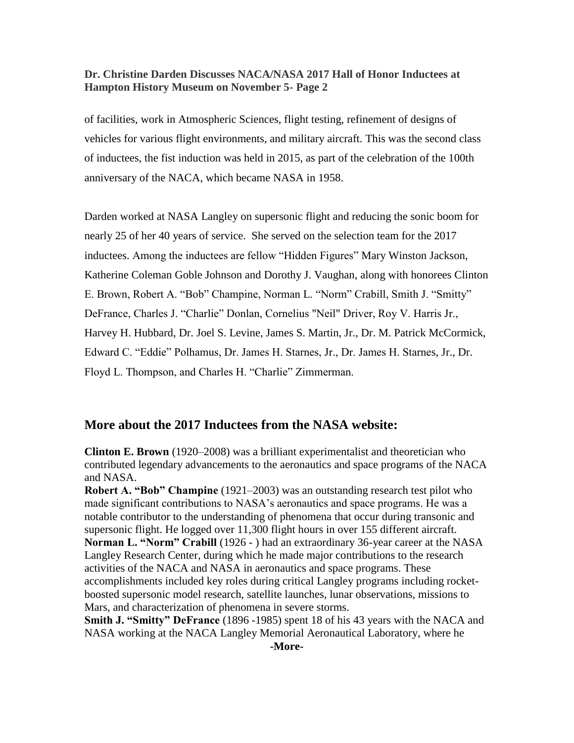of facilities, work in Atmospheric Sciences, flight testing, refinement of designs of vehicles for various flight environments, and military aircraft. This was the second class of inductees, the fist induction was held in 2015, as part of the celebration of the 100th anniversary of the NACA, which became NASA in 1958.

Darden worked at NASA Langley on supersonic flight and reducing the sonic boom for nearly 25 of her 40 years of service. She served on the selection team for the 2017 inductees. Among the inductees are fellow "Hidden Figures" Mary Winston Jackson, Katherine Coleman Goble Johnson and Dorothy J. Vaughan, along with honorees Clinton E. Brown, Robert A. "Bob" Champine, Norman L. "Norm" Crabill, Smith J. "Smitty" DeFrance, Charles J. "Charlie" Donlan, Cornelius "Neil" Driver, Roy V. Harris Jr., Harvey H. Hubbard, Dr. Joel S. Levine, James S. Martin, Jr., Dr. M. Patrick McCormick, Edward C. "Eddie" Polhamus, Dr. James H. Starnes, Jr., Dr. James H. Starnes, Jr., Dr. Floyd L. Thompson, and Charles H. "Charlie" Zimmerman.

### **More about the 2017 Inductees from the NASA website:**

**Clinton E. Brown** (1920–2008) was a brilliant experimentalist and theoretician who contributed legendary advancements to the aeronautics and space programs of the NACA and NASA.

**Robert A. "Bob" Champine** (1921–2003) was an outstanding research test pilot who made significant contributions to NASA's aeronautics and space programs. He was a notable contributor to the understanding of phenomena that occur during transonic and supersonic flight. He logged over 11,300 flight hours in over 155 different aircraft. **Norman L. "Norm" Crabill** (1926 - ) had an extraordinary 36-year career at the NASA Langley Research Center, during which he made major contributions to the research activities of the NACA and NASA in aeronautics and space programs. These accomplishments included key roles during critical Langley programs including rocketboosted supersonic model research, satellite launches, lunar observations, missions to Mars, and characterization of phenomena in severe storms.

**Smith J. "Smitty" DeFrance** (1896 -1985) spent 18 of his 43 years with the NACA and NASA working at the NACA Langley Memorial Aeronautical Laboratory, where he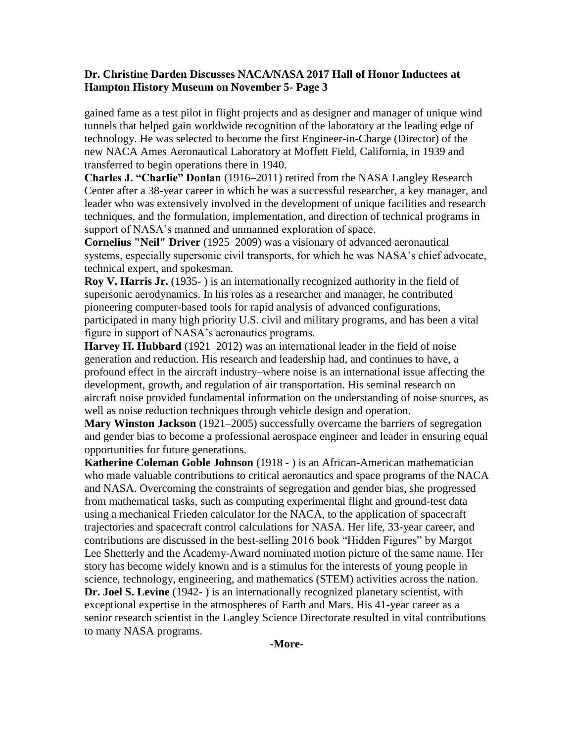gained fame as a test pilot in flight projects and as designer and manager of unique wind tunnels that helped gain worldwide recognition of the laboratory at the leading edge of technology. He was selected to become the first Engineer-in-Charge (Director) of the new NACA Ames Aeronautical Laboratory at Moffett Field, California, in 1939 and transferred to begin operations there in 1940.

**Charles J. "Charlie" Donlan** (1916–2011) retired from the NASA Langley Research Center after a 38-year career in which he was a successful researcher, a key manager, and leader who was extensively involved in the development of unique facilities and research techniques, and the formulation, implementation, and direction of technical programs in support of NASA's manned and unmanned exploration of space.

**Cornelius "Neil" Driver** (1925–2009) was a visionary of advanced aeronautical systems, especially supersonic civil transports, for which he was NASA's chief advocate, technical expert, and spokesman.

**Roy V. Harris Jr.** (1935- ) is an internationally recognized authority in the field of supersonic aerodynamics. In his roles as a researcher and manager, he contributed pioneering computer-based tools for rapid analysis of advanced configurations, participated in many high priority U.S. civil and military programs, and has been a vital figure in support of NASA's aeronautics programs.

**Harvey H. Hubbard** (1921–2012) was an international leader in the field of noise generation and reduction. His research and leadership had, and continues to have, a profound effect in the aircraft industry–where noise is an international issue affecting the development, growth, and regulation of air transportation. His seminal research on aircraft noise provided fundamental information on the understanding of noise sources, as well as noise reduction techniques through vehicle design and operation.

**Mary Winston Jackson** (1921–2005) successfully overcame the barriers of segregation and gender bias to become a professional aerospace engineer and leader in ensuring equal opportunities for future generations.

**Katherine Coleman Goble Johnson** (1918 - ) is an African-American mathematician who made valuable contributions to critical aeronautics and space programs of the NACA and NASA. Overcoming the constraints of segregation and gender bias, she progressed from mathematical tasks, such as computing experimental flight and ground-test data using a mechanical Frieden calculator for the NACA, to the application of spacecraft trajectories and spacecraft control calculations for NASA. Her life, 33-year career, and contributions are discussed in the best-selling 2016 book "Hidden Figures" by Margot Lee Shetterly and the Academy-Award nominated motion picture of the same name. Her story has become widely known and is a stimulus for the interests of young people in science, technology, engineering, and mathematics (STEM) activities across the nation. **Dr. Joel S. Levine** (1942-) is an internationally recognized planetary scientist, with exceptional expertise in the atmospheres of Earth and Mars. His 41-year career as a senior research scientist in the Langley Science Directorate resulted in vital contributions to many NASA programs.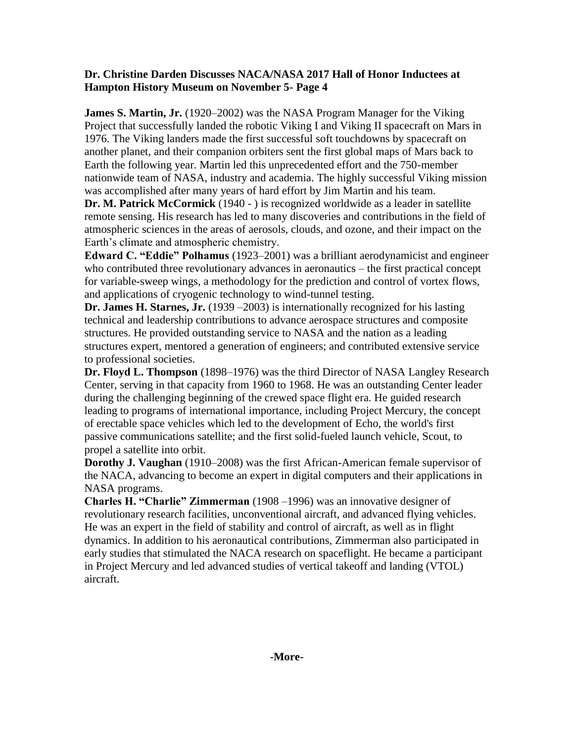**James S. Martin, Jr.** (1920–2002) was the NASA Program Manager for the Viking Project that successfully landed the robotic Viking I and Viking II spacecraft on Mars in 1976. The Viking landers made the first successful soft touchdowns by spacecraft on another planet, and their companion orbiters sent the first global maps of Mars back to Earth the following year. Martin led this unprecedented effort and the 750-member nationwide team of NASA, industry and academia. The highly successful Viking mission was accomplished after many years of hard effort by Jim Martin and his team.

**Dr. M. Patrick McCormick** (1940 - ) is recognized worldwide as a leader in satellite remote sensing. His research has led to many discoveries and contributions in the field of atmospheric sciences in the areas of aerosols, clouds, and ozone, and their impact on the Earth's climate and atmospheric chemistry.

**Edward C. "Eddie" Polhamus** (1923–2001) was a brilliant aerodynamicist and engineer who contributed three revolutionary advances in aeronautics – the first practical concept for variable-sweep wings, a methodology for the prediction and control of vortex flows, and applications of cryogenic technology to wind-tunnel testing.

**Dr. James H. Starnes, Jr.** (1939 –2003) is internationally recognized for his lasting technical and leadership contributions to advance aerospace structures and composite structures. He provided outstanding service to NASA and the nation as a leading structures expert, mentored a generation of engineers; and contributed extensive service to professional societies.

**Dr. Floyd L. Thompson** (1898–1976) was the third Director of NASA Langley Research Center, serving in that capacity from 1960 to 1968. He was an outstanding Center leader during the challenging beginning of the crewed space flight era. He guided research leading to programs of international importance, including Project Mercury, the concept of erectable space vehicles which led to the development of Echo, the world's first passive communications satellite; and the first solid-fueled launch vehicle, Scout, to propel a satellite into orbit.

**Dorothy J. Vaughan** (1910–2008) was the first African-American female supervisor of the NACA, advancing to become an expert in digital computers and their applications in NASA programs.

**Charles H. "Charlie" Zimmerman** (1908–1996) was an innovative designer of revolutionary research facilities, unconventional aircraft, and advanced flying vehicles. He was an expert in the field of stability and control of aircraft, as well as in flight dynamics. In addition to his aeronautical contributions, Zimmerman also participated in early studies that stimulated the NACA research on spaceflight. He became a participant in Project Mercury and led advanced studies of vertical takeoff and landing (VTOL) aircraft.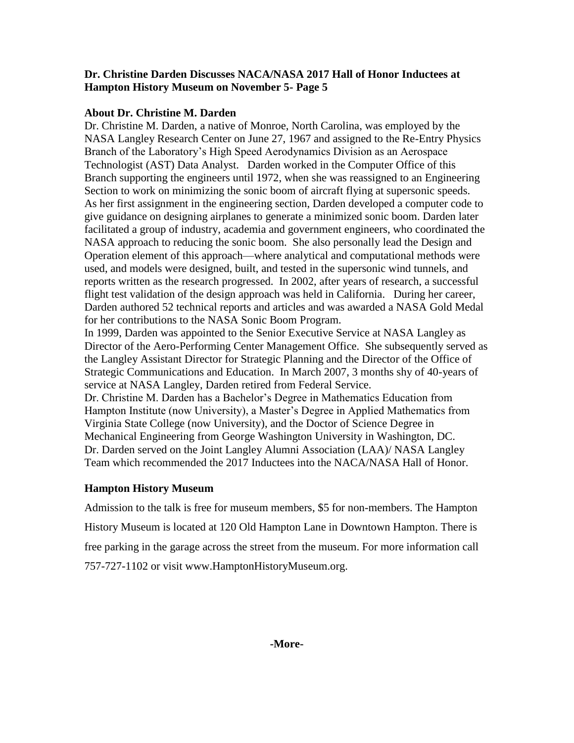#### **About Dr. Christine M. Darden**

Dr. Christine M. Darden, a native of Monroe, North Carolina, was employed by the NASA Langley Research Center on June 27, 1967 and assigned to the Re-Entry Physics Branch of the Laboratory's High Speed Aerodynamics Division as an Aerospace Technologist (AST) Data Analyst. Darden worked in the Computer Office of this Branch supporting the engineers until 1972, when she was reassigned to an Engineering Section to work on minimizing the sonic boom of aircraft flying at supersonic speeds. As her first assignment in the engineering section, Darden developed a computer code to give guidance on designing airplanes to generate a minimized sonic boom. Darden later facilitated a group of industry, academia and government engineers, who coordinated the NASA approach to reducing the sonic boom. She also personally lead the Design and Operation element of this approach—where analytical and computational methods were used, and models were designed, built, and tested in the supersonic wind tunnels, and reports written as the research progressed. In 2002, after years of research, a successful flight test validation of the design approach was held in California. During her career, Darden authored 52 technical reports and articles and was awarded a NASA Gold Medal for her contributions to the NASA Sonic Boom Program.

In 1999, Darden was appointed to the Senior Executive Service at NASA Langley as Director of the Aero-Performing Center Management Office. She subsequently served as the Langley Assistant Director for Strategic Planning and the Director of the Office of Strategic Communications and Education. In March 2007, 3 months shy of 40-years of service at NASA Langley, Darden retired from Federal Service.

Dr. Christine M. Darden has a Bachelor's Degree in Mathematics Education from Hampton Institute (now University), a Master's Degree in Applied Mathematics from Virginia State College (now University), and the Doctor of Science Degree in Mechanical Engineering from George Washington University in Washington, DC. Dr. Darden served on the Joint Langley Alumni Association (LAA)/ NASA Langley Team which recommended the 2017 Inductees into the NACA/NASA Hall of Honor.

#### **Hampton History Museum**

Admission to the talk is free for museum members, \$5 for non-members. The Hampton History Museum is located at 120 Old Hampton Lane in Downtown Hampton. There is free parking in the garage across the street from the museum. For more information call 757-727-1102 or visit [www.HamptonHistoryMuseum.org.](http://www.hamptonhistorymuseum.org/)